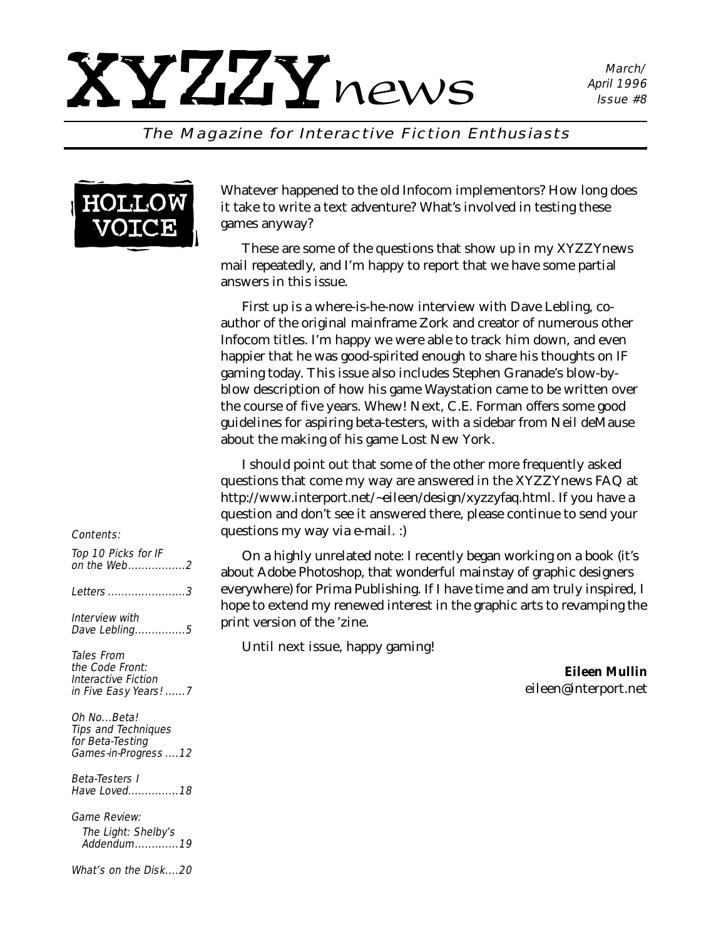### The Magazine for Interactive Fiction Enthusiasts



Whatever happened to the old Infocom implementors? How long does it take to write a text adventure? What's involved in testing these games anyway?

These are some of the questions that show up in my *XYZZYnews* mail repeatedly, and I'm happy to report that we have some partial answers in this issue.

First up is a where-is-he-now interview with Dave Lebling, coauthor of the original mainframe Zork and creator of numerous other Infocom titles. I'm happy we were able to track him down, and even happier that he was good-spirited enough to share his thoughts on IF gaming today. This issue also includes Stephen Granade's blow-byblow description of how his game Waystation came to be written over the course of five years. Whew! Next, C.E. Forman offers some good guidelines for aspiring beta-testers, with a sidebar from Neil deMause about the making of his game Lost New York.

I should point out that some of the other more frequently asked questions that come my way are answered in the *XYZZYnews* FAQ at http://www.interport.net/~eileen/design/xyzzyfaq.html. If you have a question and don't see it answered there, please continue to send your questions my way via e-mail. :)

n a highly unrelated note: I recently began working on a book (it's Adobe Photoshop, that wonderful mainstay of graphic designers where) for Prima Publishing. If I have time and am truly inspired, I to extend my renewed interest in the graphic arts to revamping the version of the 'zine.

ntil next issue, happy gaming!

*Eileen Mullin eileen@interport.net*

### Contents:

| Top 10 Picks for IF<br>on the Web2<br>Letters 3<br>Interview with<br>Dave Lebling5          | ( ) r<br>about<br>everyy<br>hope t<br>print v |
|---------------------------------------------------------------------------------------------|-----------------------------------------------|
| <i>Tales From</i><br>the Code Front:<br><i>Interactive Fiction</i><br>in Five Easy Years! 7 | Uı                                            |
| Oh NoBeta!<br><b>Tips and Techniques</b><br>for Beta-Testing<br>Games-in-Progress 12        |                                               |
| Beta-Testers I<br>Have Loved18                                                              |                                               |
| <b>Game Review:</b><br>The Light: Shelby's<br>Addendum19                                    |                                               |
| What's on the Disk20                                                                        |                                               |
|                                                                                             |                                               |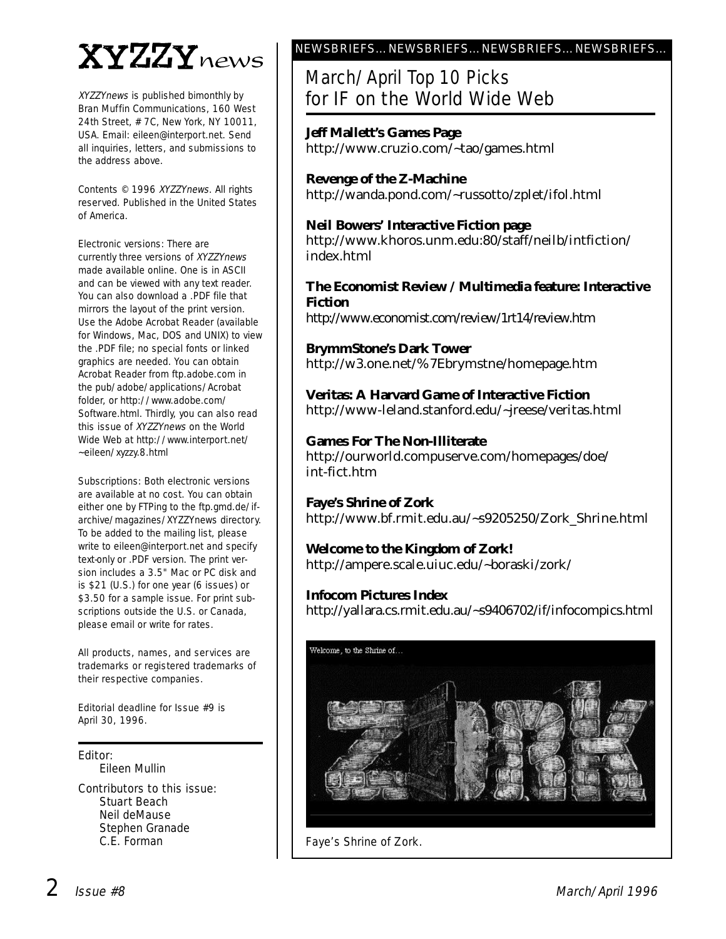# XYZZYnews

XYZZYnews is published bimonthly by Bran Muffin Communications, 160 West 24th Street, # 7C, New York, NY 10011, USA. Email: eileen@interport.net. Send all inquiries, letters, and submissions to the address above.

Contents © 1996 XYZZYnews. All rights reserved. Published in the United States of America.

Electronic versions: There are currently three versions of XYZZYnews made available online. One is in ASCII and can be viewed with any text reader. You can also download a .PDF file that mirrors the layout of the print version. Use the Adobe Acrobat Reader (available for Windows, Mac, DOS and UNIX) to view the .PDF file; no special fonts or linked graphics are needed. You can obtain Acrobat Reader from ftp.adobe.com in the pub/adobe/applications/Acrobat folder, or http://www.adobe.com/ Software.html. Thirdly, you can also read this issue of XYZZYnews on the World Wide Web at http://www.interport.net/ ~eileen/xyzzy.8.html

Subscriptions: Both electronic versions are available at no cost. You can obtain either one by FTPing to the ftp.gmd.de/ifarchive/magazines/XYZZYnews directory. To be added to the mailing list, please write to eileen@interport.net and specify text-only or .PDF version. The print version includes a 3.5" Mac or PC disk and is \$21 (U.S.) for one year (6 issues) or \$3.50 for a sample issue. For print subscriptions outside the U.S. or Canada, please email or write for rates.

All products, names, and ser vices are trademarks or registered trademarks of their respective companies.

Editorial deadline for Issue #9 is April 30, 1996.

Editor:

Eileen Mullin

Contributors to this issue: Stuart Beach Neil deMause Stephen Granade C.E. Forman

### NEWSBRIEFS…NEWSBRIEFS…NEWSBRIEFS…NEWSBRIEFS…

### March/April Top 10 Picks for IF on the World Wide Web

**Jeff Mallett's Games Page** http://www.cruzio.com/~tao/games.html

**Revenge of the Z-Machine** http://wanda.pond.com/~russotto/zplet/ifol.html

**Neil Bowers' Interactive Fiction page** http://www.khoros.unm.edu:80/staff/neilb/intfiction/ index.html

### **The Economist Review / Multimedia feature: Interactive Fiction**

http://www.economist.com/review/1rt14/review.htm

**BrymmStone's Dark Tower** http://w3.one.net/%7Ebrymstne/homepage.htm

**Veritas: A Harvard Game of Interactive Fiction**  http://www-leland.stanford.edu/~jreese/veritas.html

**Games For The Non-Illiterate** http://ourworld.compuserve.com/homepages/doe/ int-fict.htm

**Faye's Shrine of Zork** http://www.bf.rmit.edu.au/~s9205250/Zork\_Shrine.html

**Welcome to the Kingdom of Zork!** http://ampere.scale.uiuc.edu/~boraski/zork/

# **Infocom Pictures Index**

http://yallara.cs.rmit.edu.au/~s9406702/if/infocompics.html



Faye's Shrine of Zork.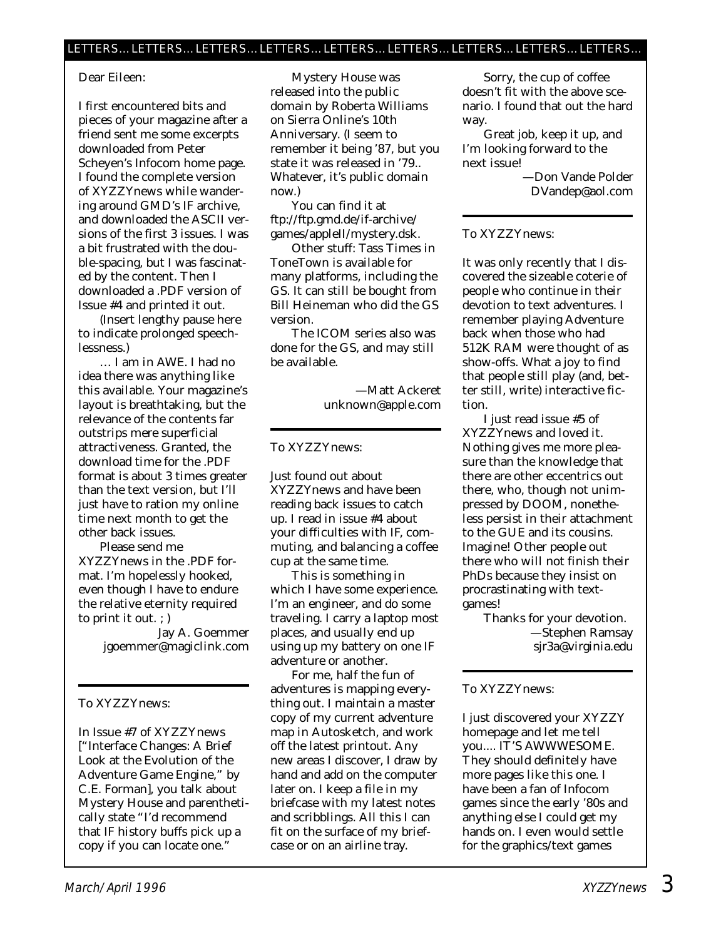### Dear Eileen:

I first encountered bits and pieces of your magazine after a friend sent me some excerpts downloaded from Peter Scheyen's Infocom home page. I found the complete version of *XYZZYnews* while wandering around GMD's IF archive, and downloaded the ASCII versions of the first 3 issues. I was a bit frustrated with the double-spacing, but I was fascinated by the content. Then I downloaded a .PDF version of Issue #4 and printed it out.

(Insert lengthy pause here to indicate prolonged speechlessness.)

… I am in AWE. I had no idea there was *anything* like this available. Your magazine's layout is breathtaking, but the relevance of the contents far outstrips mere superficial attractiveness. Granted, the download time for the .PDF format is about 3 times greater than the text version, but I'll just have to ration my online time next month to get the other back issues.

Please send me *XYZZYnews* in the .PDF format. I'm hopelessly hooked, even though I have to endure the relative eternity required to print it out. ; )

> Jay A. Goemmer jgoemmer@magiclink.com

### To XYZZYnews:

In Issue #7 of XYZZYnews ["Interface Changes: A Brief Look at the Evolution of the Adventure Game Engine," by C.E. Forman], you talk about Mystery House and parenthetically state "I'd recommend that IF history buffs pick up a copy if you can locate one."

Mystery House was released into the public domain by Roberta Williams on Sierra Online's 10th Anniversary. (I seem to remember it being '87, but you state it was released in '79.. Whatever, it's public domain now.)

You can find it at ftp://ftp.gmd.de/if-archive/ games/appleII/mystery.dsk.

Other stuff: Tass Times in ToneTown is available for many platforms, including the GS. It can still be bought from Bill Heineman who did the GS version.

The ICOM series also was done for the GS, and may still be available.

> —Matt Ackeret unknown@apple.com

#### To XYZZYnews:

Just found out about *XYZZYnews* and have been reading back issues to catch up. I read in issue #4 about your difficulties with IF, commuting, and balancing a coffee cup at the same time.

This is something in which I have some experience. I'm an engineer, and do some traveling. I carry a laptop most places, and usually end up using up my battery on one IF adventure or another.

For me, half the fun of adventures is mapping everything out. I maintain a master copy of my current adventure map in Autosketch, and work off the latest printout. Any new areas I discover, I draw by hand and add on the computer later on. I keep a file in my briefcase with my latest notes and scribblings. All this I can fit on the surface of my briefcase or on an airline tray.

Sorry, the cup of coffee doesn't fit with the above scenario. I found that out the hard way.

Great job, keep it up, and I'm looking forward to the next issue!

> —Don Vande Polder DVandep@aol.com

### To XYZZYnews:

It was only recently that I discovered the sizeable coterie of people who continue in their devotion to text adventures. I remember playing Adventure back when those who had 512K RAM were thought of as show-offs. What a joy to find that people still play (and, better still, write) interactive fiction.

I just read issue #5 of *XYZZYnews* and loved it. Nothing gives me more pleasure than the knowledge that there are other eccentrics out there, who, though not unimpressed by DOOM, nonetheless persist in their attachment to the GUE and its cousins. Imagine! *Other* people out there who will not finish their PhDs because they insist on procrastinating with textgames!

Thanks for your devotion. —Stephen Ramsay sjr3a@virginia.edu

### To XYZZYnews:

I just discovered your XYZZY homepage and let me tell you.... IT'S AWWWESOME. They should definitely have more pages like this one. I have been a fan of Infocom games since the early '80s and anything else I could get my hands on. I even would settle for the graphics/text games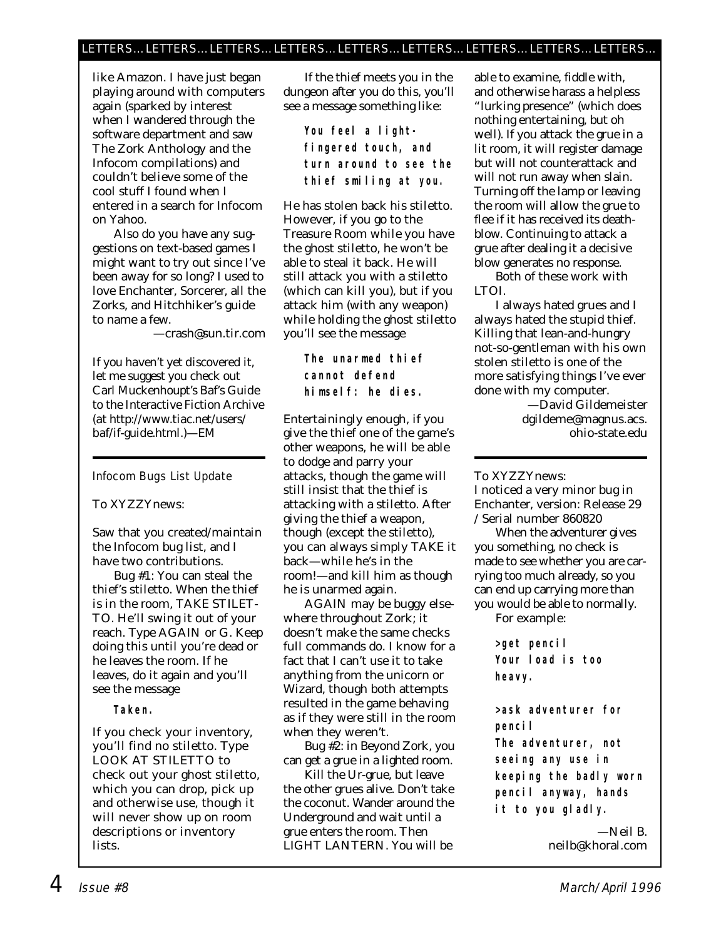### LETTERS…LETTERS…LETTERS…LETTERS…LETTERS…LETTERS…LETTERS…LETTERS…LETTERS…

like Amazon. I have just began playing around with computers again (sparked by interest when I wandered through the software department and saw The Zork Anthology and the Infocom compilations) and couldn't believe some of the cool stuff I found when I entered in a search for Infocom on Yahoo.

Also do you have any suggestions on text-based games I might want to try out since I've been away for so long? I used to love Enchanter, Sorcerer, all the Zorks, and Hitchhiker's guide to name a few.

—crash@sun.tir.com

*If you haven't yet discovered it, let me suggest you check out Carl Muckenhoupt's Baf's Guide to the Interactive Fiction Archive (at http://www.tiac.net/users/ baf/if-guide.html.)—EM*

### Infocom Bugs List Update

### To XYZZYnews:

Saw that you created/maintain the Infocom bug list, and I have two contributions.

Bug #1: You can steal the thief's stiletto. When the thief is in the room, TAKE STILET-TO. He'll swing it out of your reach. Type AGAIN or G. Keep doing this until you're dead or he leaves the room. If he leaves, do it again and you'll see the message

**Taken.**

If you check your inventory, you'll find no stiletto. Type LOOK AT STILETTO to check out your ghost stiletto, which you can drop, pick up and otherwise use, though it will never show up on room descriptions or inventory lists.

If the thief meets you in the dungeon after you do this, you'll see a message something like:

> **You feel a lightfingered touch, and turn around to see the thief smiling at you.**

He has stolen back his stiletto. However, if you go to the Treasure Room while you have the ghost stiletto, he won't be able to steal it back. He will still attack you with a stiletto (which can kill you), but if you attack him (with any weapon) while holding the ghost stiletto you'll see the message

> **The unarmed thief cannot defend himself: he dies.**

Entertainingly enough, if you give the thief one of the game's other weapons, he will be able to dodge and parry your attacks, though the game will still insist that the thief is attacking with a stiletto. After giving the thief a weapon, though (except the stiletto), you can always simply TAKE it back—while he's in the room!—and kill him as though he is unarmed again.

AGAIN may be buggy elsewhere throughout Zork; it doesn't make the same checks full commands do. I know for a fact that I can't use it to take anything from the unicorn or Wizard, though both attempts resulted in the game behaving as if they were still in the room when they weren't.

Bug #2: in Beyond Zork, you can get a grue in a lighted room.

Kill the Ur-grue, but leave the other grues alive. Don't take the coconut. Wander around the Underground and wait until a grue enters the room. Then LIGHT LANTERN. You will be

able to examine, fiddle with, and otherwise harass a helpless "lurking presence" (which does nothing entertaining, but oh well). If you attack the grue in a lit room, it will register damage but will not counterattack and will not run away when slain. Turning off the lamp or leaving the room will allow the grue to flee if it has received its deathblow. Continuing to attack a grue after dealing it a decisive blow generates *no* response.

Both of these work with LTOI.

I always hated grues and I always hated the stupid thief. Killing that lean-and-hungry not-so-gentleman with his own stolen stiletto is one of the more satisfying things I've ever done with my computer.

> —David Gildemeister dgildeme@magnus.acs. ohio-state.edu

To XYZZYnews:

I noticed a very minor bug in Enchanter, version: Release 29 / Serial number 860820

When the adventurer gives you something, no check is made to see whether you are carrying too much already, so you can end up carrying more than you would be able to normally.

For example:

**>get pencil Your load is too heavy.**

**>ask adventurer for pencil The adventurer, not seeing any use in keeping the badly worn pencil anyway, hands it to you gladly.**

> —Neil B. neilb@khoral.com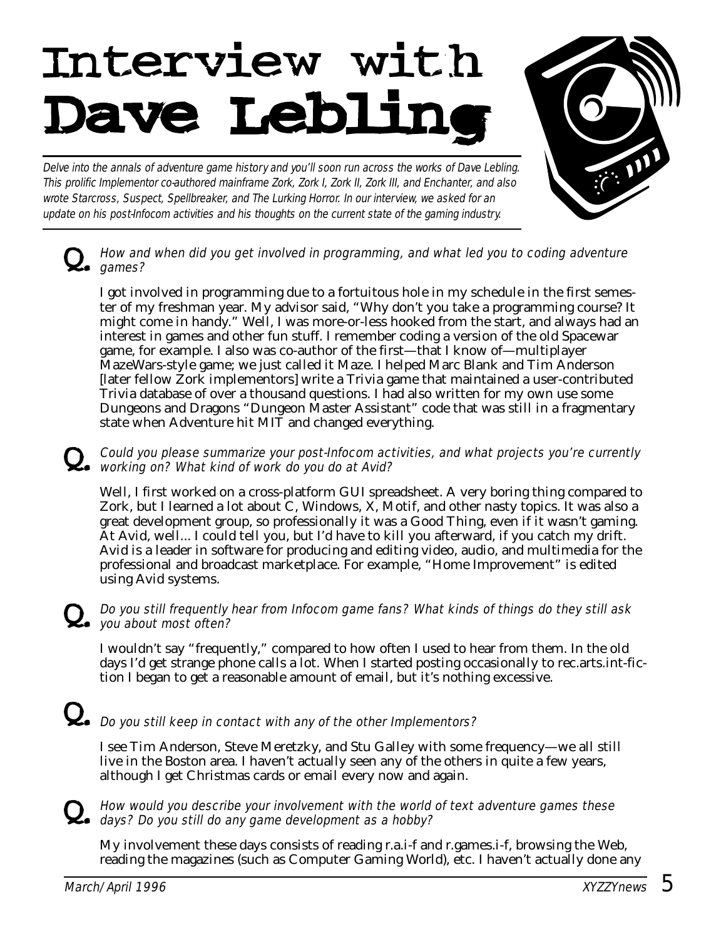# Interview with<br>Dave Lebling

Delve into the annals of adventure game history and you'll soon run across the works of Dave Lebling. This prolific Implementor co-authored mainframe Zork, Zork I, Zork II, Zork III, and Enchanter, and also wrote Starcross, Suspect, Spellbreaker, and The Lurking Horror. In our interview, we asked for an update on his post-Infocom activities and his thoughts on the current state of the gaming industry.

How and when did you get involved in programming, and what led you to coding adventure  $\mathcal{L}_{\bullet}$  games?

I got involved in programming due to a fortuitous hole in my schedule in the first semester of my freshman year. My advisor said, "Why don't you take a programming course? It might come in handy." Well, I was more-or-less hooked from the start, and always had an interest in games and other fun stuff. I remember coding a version of the old Spacewar game, for example. I also was co-author of the first—that I know of—multiplayer MazeWars-style game; we just called it Maze. I helped Marc Blank and Tim Anderson [later fellow Zork implementors] write a Trivia game that maintained a user-contributed Trivia database of over a thousand questions. I had also written for my own use some Dungeons and Dragons "Dungeon Master Assistant" code that was still in a fragmentary state when Adventure hit MIT and changed everything.

# Q. Could you please summarize your post-Infocom activities, and what projects you're currently working on? What kind of work do you do at Avid?

Well, I first worked on a cross-platform GUI spreadsheet. A very boring thing compared to Zork, but I learned a lot about C, Windows, X, Motif, and other nasty topics. It was also a great development group, so professionally it was a Good Thing, even if it wasn't gaming. At Avid, well... I could tell you, but I'd have to kill you afterward, if you catch my drift. Avid is a leader in software for producing and editing video, audio, and multimedia for the professional and broadcast marketplace. For example, "Home Improvement" is edited using Avid systems.

### Do you still frequently hear from Infocom game fans? What kinds of things do they still ask  $Q_{\bullet}$  Do you sum most often?

I wouldn't say "frequently," compared to how often I used to hear from them. In the old days I'd get strange phone calls a lot. When I started posting occasionally to rec.arts.int-fiction I began to get a reasonable amount of email, but it's nothing excessive.

# $\Omega_{\bullet}$  Do you still keep in contact with any of the other Implementors?

I see Tim Anderson, Steve Meretzky, and Stu Galley with some frequency—we all still live in the Boston area. I haven't actually seen any of the others in quite a few years, although I get Christmas cards or email every now and again.

# Q. How would you describe your involvement with the world of text adventure games these days? Do you still do any game development as a hobby?

My involvement these days consists of reading r.a.i-f and r.games.i-f, browsing the Web, reading the magazines (such as Computer Gaming World), etc. I haven't actually done any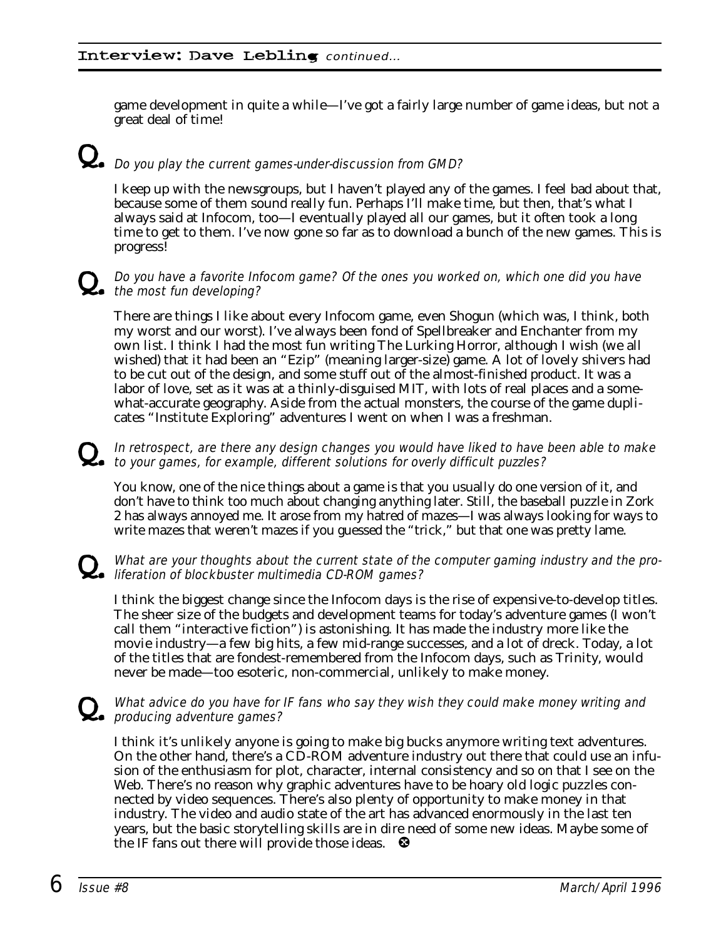game development in quite a while—I've got a fairly large number of game ideas, but not a great deal of time!

# $\Omega$ . Do you play the current games-under-discussion from GMD?

I keep up with the newsgroups, but I haven't played any of the games. I feel bad about that, because some of them sound really fun. Perhaps I'll make time, but then, that's what I always said at Infocom, too—I eventually played all our games, but it often took a long time to get to them. I've now gone so far as to download a bunch of the new games. This is progress!

### Do you have a favorite Infocom game? Of the ones you worked on, which one did you have  $\sum_{i=1}^{N}$  the most fun developing?

There are things I like about every Infocom game, even Shogun (which was, I think, both my worst and our worst). I've always been fond of Spellbreaker and Enchanter from my own list. I think I had the most fun writing The Lurking Horror, although I wish (we all wished) that it had been an "Ezip" (meaning larger-size) game. A lot of lovely shivers had to be cut out of the design, and some stuff out of the almost-finished product. It was a labor of love, set as it was at a thinly-disguised MIT, with lots of real places and a somewhat-accurate geography. Aside from the actual monsters, the course of the game duplicates "Institute Exploring" adventures I went on when I was a freshman.

# Q. In retrospect, are there any design changes you would have liked to have been able to make to your games, for example, different solutions for overly difficult puzzles?

You know, one of the nice things about a game is that you usually do one version of it, and don't have to think too much about changing anything later. Still, the baseball puzzle in Zork 2 has always annoyed me. It arose from my hatred of mazes—I was always looking for ways to write mazes that weren't mazes if you guessed the "trick," but that one was pretty lame.

# What are your thoughts about the current state of the computer gaming industry and the pro-<br>also liferation of blockbuster multimedia CD-ROM games?

I think the biggest change since the Infocom days is the rise of expensive-to-develop titles. The sheer size of the budgets and development teams for today's adventure games (I won't call them "interactive fiction") is astonishing. It has made the industry more like the movie industry—a few big hits, a few mid-range successes, and a lot of dreck. Today, a lot of the titles that are fondest-remembered from the Infocom days, such as Trinity, would never be made—too esoteric, non-commercial, unlikely to make money.

### What advice do you have for IF fans who say they wish they could make money writing and **L.** producing adventure games?

I think it's unlikely anyone is going to make big bucks anymore writing text adventures. On the other hand, there's a CD-ROM adventure industry out there that could use an infusion of the enthusiasm for plot, character, internal consistency and so on that I see on the Web. There's no reason why graphic adventures have to be hoary old logic puzzles connected by video sequences. There's also plenty of opportunity to make money in that industry. The video and audio state of the art has advanced enormously in the last ten years, but the basic storytelling skills are in dire need of some new ideas. Maybe some of the IF fans out there will provide those ideas.  $\bullet$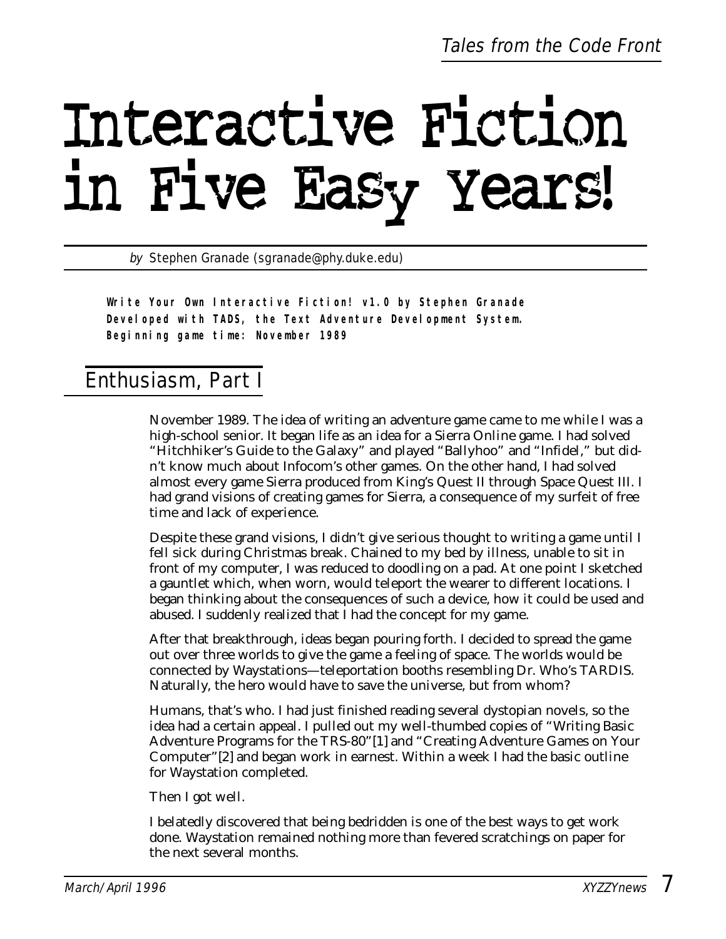# Interactive Fiction in Five Easy Years!

by Stephen Granade (sgranade@phy.duke.edu)

**Write Your Own Interactive Fiction! v1.0 by Stephen Granade Developed with TADS, the Text Adventure Development System. Beginning game time: November 1989**

### Enthusiasm, Part I

November 1989. The idea of writing an adventure game came to me while I was a high-school senior. It began life as an idea for a Sierra Online game. I had solved "Hitchhiker's Guide to the Galaxy" and played "Ballyhoo" and "Infidel," but didn't know much about Infocom's other games. On the other hand, I had solved almost every game Sierra produced from King's Quest II through Space Quest III. I had grand visions of creating games for Sierra, a consequence of my surfeit of free time and lack of experience.

Despite these grand visions, I didn't give serious thought to writing a game until I fell sick during Christmas break. Chained to my bed by illness, unable to sit in front of my computer, I was reduced to doodling on a pad. At one point I sketched a gauntlet which, when worn, would teleport the wearer to different locations. I began thinking about the consequences of such a device, how it could be used and abused. I suddenly realized that I had the concept for my game.

After that breakthrough, ideas began pouring forth. I decided to spread the game out over three worlds to give the game a feeling of space. The worlds would be connected by Waystations—teleportation booths resembling Dr. Who's TARDIS. Naturally, the hero would have to save the universe, but from whom?

Humans, that's who. I had just finished reading several dystopian novels, so the idea had a certain appeal. I pulled out my well-thumbed copies of "Writing Basic Adventure Programs for the TRS-80"[1] and "Creating Adventure Games on Your Computer"[2] and began work in earnest. Within a week I had the basic outline for Waystation completed.

Then I got well.

I belatedly discovered that being bedridden is one of the best ways to get work done. Waystation remained nothing more than fevered scratchings on paper for the next several months.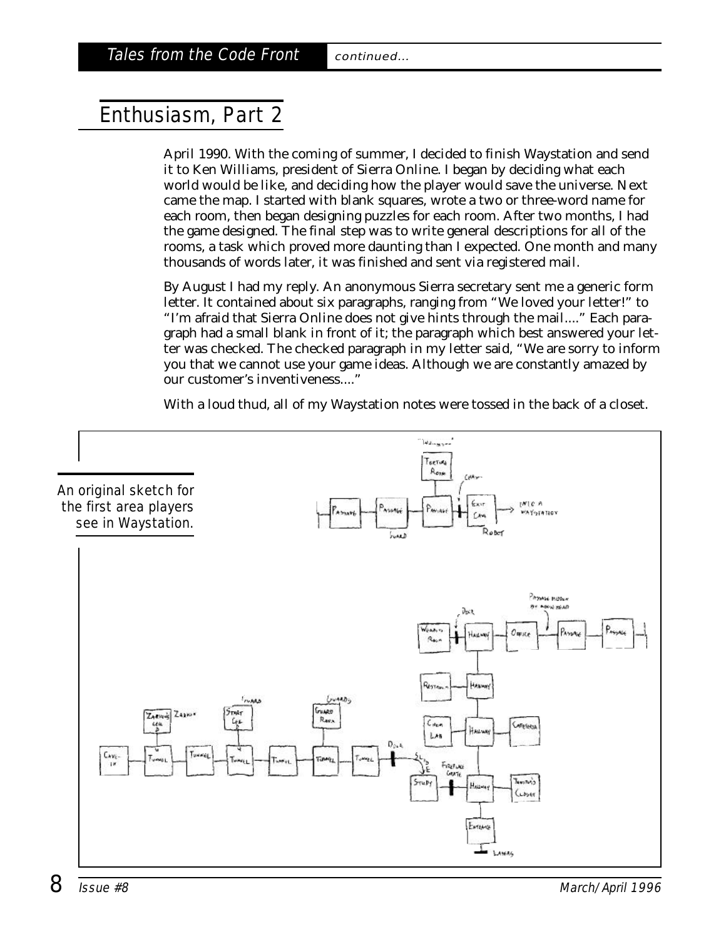# Enthusiasm, Part 2

April 1990. With the coming of summer, I decided to finish Waystation and send it to Ken Williams, president of Sierra Online. I began by deciding what each world would be like, and deciding how the player would save the universe. Next came the map. I started with blank squares, wrote a two or three-word name for each room, then began designing puzzles for each room. After two months, I had the game designed. The final step was to write general descriptions for all of the rooms, a task which proved more daunting than I expected. One month and many thousands of words later, it was finished and sent via registered mail.

By August I had my reply. An anonymous Sierra secretary sent me a generic form letter. It contained about six paragraphs, ranging from "We loved your letter!" to "I'm afraid that Sierra Online does not give hints through the mail...." Each paragraph had a small blank in front of it; the paragraph which best answered your letter was checked. The checked paragraph in my letter said, "We are sorry to inform you that we cannot use your game ideas. Although we are constantly amazed by our customer's inventiveness...."

With a loud thud, all of my Waystation notes were tossed in the back of a closet.

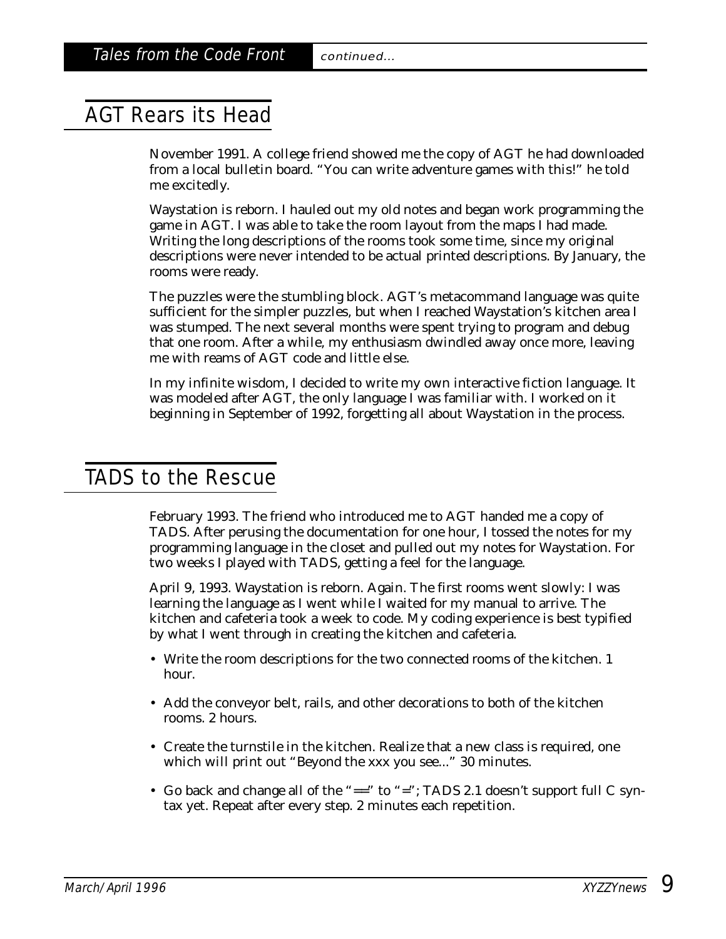## AGT Rears its Head

November 1991. A college friend showed me the copy of AGT he had downloaded from a local bulletin board. "You can write adventure games with this!" he told me excitedly.

Waystation is reborn. I hauled out my old notes and began work programming the game in AGT. I was able to take the room layout from the maps I had made. Writing the long descriptions of the rooms took some time, since my original descriptions were never intended to be actual printed descriptions. By January, the rooms were ready.

The puzzles were the stumbling block. AGT's metacommand language was quite sufficient for the simpler puzzles, but when I reached Waystation's kitchen area I was stumped. The next several months were spent trying to program and debug that one room. After a while, my enthusiasm dwindled away once more, leaving me with reams of AGT code and little else.

In my infinite wisdom, I decided to write my own interactive fiction language. It was modeled after AGT, the only language I was familiar with. I worked on it beginning in September of 1992, forgetting all about Waystation in the process.

### TADS to the Rescue

February 1993. The friend who introduced me to AGT handed me a copy of TADS. After perusing the documentation for one hour, I tossed the notes for my programming language in the closet and pulled out my notes for Waystation. For two weeks I played with TADS, getting a feel for the language.

April 9, 1993. Waystation is reborn. Again. The first rooms went slowly: I was learning the language as I went while I waited for my manual to arrive. The kitchen and cafeteria took a week to code. My coding experience is best typified by what I went through in creating the kitchen and cafeteria.

- Write the room descriptions for the two connected rooms of the kitchen. 1 hour.
- Add the conveyor belt, rails, and other decorations to both of the kitchen rooms. 2 hours.
- Create the turnstile in the kitchen. Realize that a new class is required, one which will print out "Beyond the xxx you see..." 30 minutes.
- Go back and change all of the "==" to "="; TADS 2.1 doesn't support full C syntax yet. Repeat after every step. 2 minutes each repetition.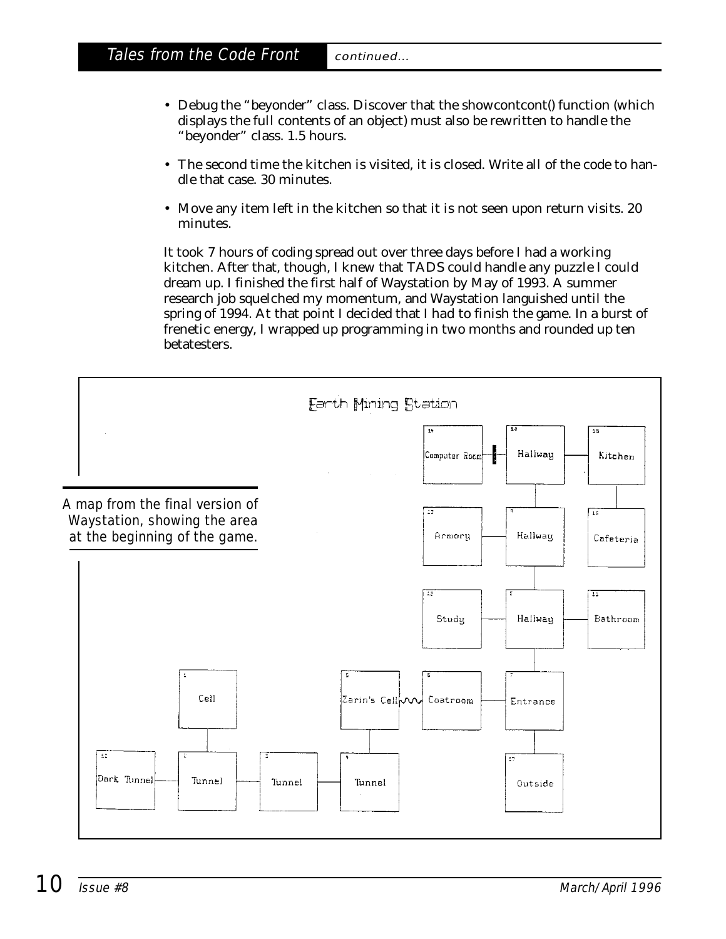- Debug the "beyonder" class. Discover that the showcontcont() function (which displays the full contents of an object) must also be rewritten to handle the "beyonder" class. 1.5 hours.
- The second time the kitchen is visited, it is closed. Write all of the code to handle that case. 30 minutes.
- Move any item left in the kitchen so that it is not seen upon return visits. 20 minutes.

It took 7 hours of coding spread out over three days before I had a working kitchen. After that, though, I knew that TADS could handle any puzzle I could dream up. I finished the first half of Waystation by May of 1993. A summer research job squelched my momentum, and Waystation languished until the spring of 1994. At that point I decided that I *had* to finish the game. In a burst of frenetic energy, I wrapped up programming in two months and rounded up ten betatesters.

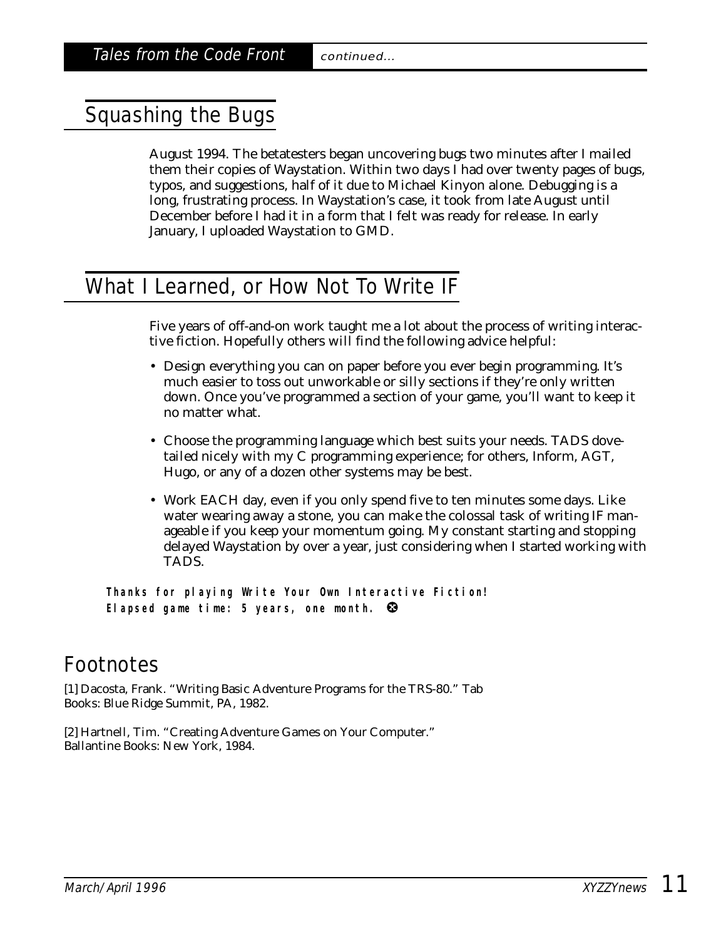# Squashing the Bugs

August 1994. The betatesters began uncovering bugs two minutes after I mailed them their copies of Waystation. Within two days I had over twenty pages of bugs, typos, and suggestions, half of it due to Michael Kinyon alone. Debugging is a long, frustrating process. In Waystation's case, it took from late August until December before I had it in a form that I felt was ready for release. In early January, I uploaded Waystation to GMD.

## What I Learned, or How Not To Write IF

Five years of off-and-on work taught me a lot about the process of writing interactive fiction. Hopefully others will find the following advice helpful:

- Design everything you can on paper before you ever begin programming. It's much easier to toss out unworkable or silly sections if they're only written down. Once you've programmed a section of your game, you'll want to keep it no matter what.
- Choose the programming language which best suits your needs. TADS dovetailed nicely with my C programming experience; for others, Inform, AGT, Hugo, or any of a dozen other systems may be best.
- Work EACH day, even if you only spend five to ten minutes some days. Like water wearing away a stone, you can make the colossal task of writing IF manageable if you keep your momentum going. My constant starting and stopping delayed Waystation by over a year, just considering when I started working with TADS.

**Thanks for playing Write Your Own Interactive Fiction! Elapsed game time: 5 years, one month.** 

# Footnotes

[1] Dacosta, Frank. "Writing Basic Adventure Programs for the TRS-80." Tab Books: Blue Ridge Summit, PA, 1982.

[2] Hartnell, Tim. "Creating Adventure Games on Your Computer." Ballantine Books: New York, 1984.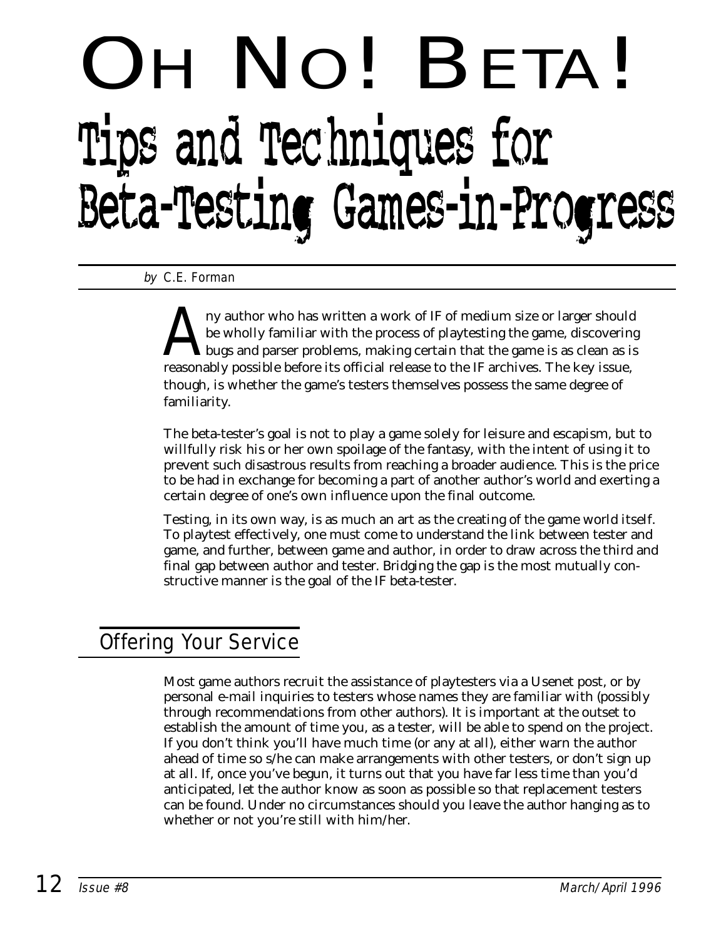# H NO! BETA! Tips and Techniques for Beta-Testing Games-in-Progress

by C.E. Forman

Any author who has written a work of IF of medium size or larger should<br>be wholly familiar with the process of playtesting the game, discovering<br>bugs and parser problems, making certain that the game is as clean as is<br>reas be wholly familiar with the process of playtesting the game, discovering bugs and parser problems, making certain that the game is as clean as is reasonably possible before its official release to the IF archives. The key issue, though, is whether the game's testers themselves possess the same degree of familiarity.

The beta-tester's goal is not to play a game solely for leisure and escapism, but to willfully risk his or her own spoilage of the fantasy, with the intent of using it to prevent such disastrous results from reaching a broader audience. This is the price to be had in exchange for becoming a part of another author's world and exerting a certain degree of one's own influence upon the final outcome.

Testing, in its own way, is as much an art as the creating of the game world itself. To playtest effectively, one must come to understand the link between tester and game, and further, between game and author, in order to draw across the third and final gap between author and tester. Bridging the gap is the most mutually constructive manner is the goal of the IF beta-tester.

# Offering Your Service

Most game authors recruit the assistance of playtesters via a Usenet post, or by personal e-mail inquiries to testers whose names they are familiar with (possibly through recommendations from other authors). It is important at the outset to establish the amount of time you, as a tester, will be able to spend on the project. If you don't think you'll have much time (or any at all), either warn the author ahead of time so s/he can make arrangements with other testers, or don't sign up at all. If, once you've begun, it turns out that you have far less time than you'd anticipated, let the author know as soon as possible so that replacement testers can be found. Under no circumstances should you leave the author hanging as to whether or not you're still with him/her.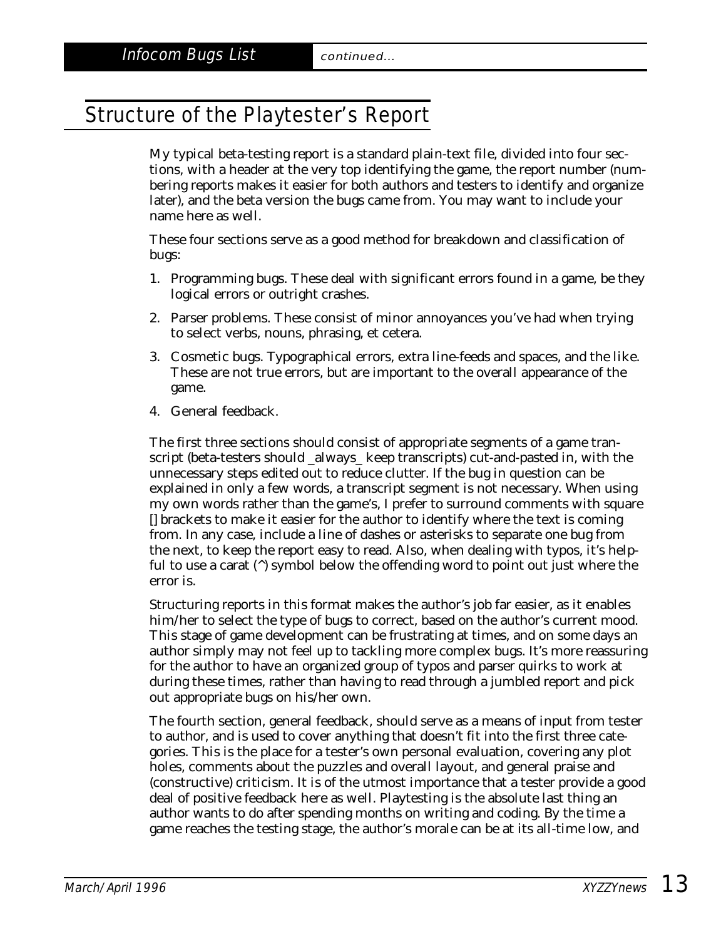# Structure of the Playtester's Report

My typical beta-testing report is a standard plain-text file, divided into four sections, with a header at the very top identifying the game, the report number (numbering reports makes it easier for both authors and testers to identify and organize later), and the beta version the bugs came from. You may want to include your name here as well.

These four sections serve as a good method for breakdown and classification of bugs:

- 1. Programming bugs. These deal with significant errors found in a game, be they logical errors or outright crashes.
- 2. Parser problems. These consist of minor annoyances you've had when trying to select verbs, nouns, phrasing, et cetera.
- 3. Cosmetic bugs. Typographical errors, extra line-feeds and spaces, and the like. These are not true errors, but are important to the overall appearance of the game.
- 4. General feedback.

The first three sections should consist of appropriate segments of a game transcript (beta-testers should \_always\_ keep transcripts) cut-and-pasted in, with the unnecessary steps edited out to reduce clutter. If the bug in question can be explained in only a few words, a transcript segment is not necessary. When using my own words rather than the game's, I prefer to surround comments with square [] brackets to make it easier for the author to identify where the text is coming from. In any case, include a line of dashes or asterisks to separate one bug from the next, to keep the report easy to read. Also, when dealing with typos, it's helpful to use a carat  $(\hat{\ })$  symbol below the offending word to point out just where the error is.

Structuring reports in this format makes the author's job far easier, as it enables him/her to select the type of bugs to correct, based on the author's current mood. This stage of game development can be frustrating at times, and on some days an author simply may not feel up to tackling more complex bugs. It's more reassuring for the author to have an organized group of typos and parser quirks to work at during these times, rather than having to read through a jumbled report and pick out appropriate bugs on his/her own.

The fourth section, general feedback, should serve as a means of input from tester to author, and is used to cover anything that doesn't fit into the first three categories. This is the place for a tester's own personal evaluation, covering any plot holes, comments about the puzzles and overall layout, and general praise and (constructive) criticism. It is of the utmost importance that a tester provide a good deal of positive feedback here as well. Playtesting is the absolute last thing an author wants to do after spending months on writing and coding. By the time a game reaches the testing stage, the author's morale can be at its all-time low, and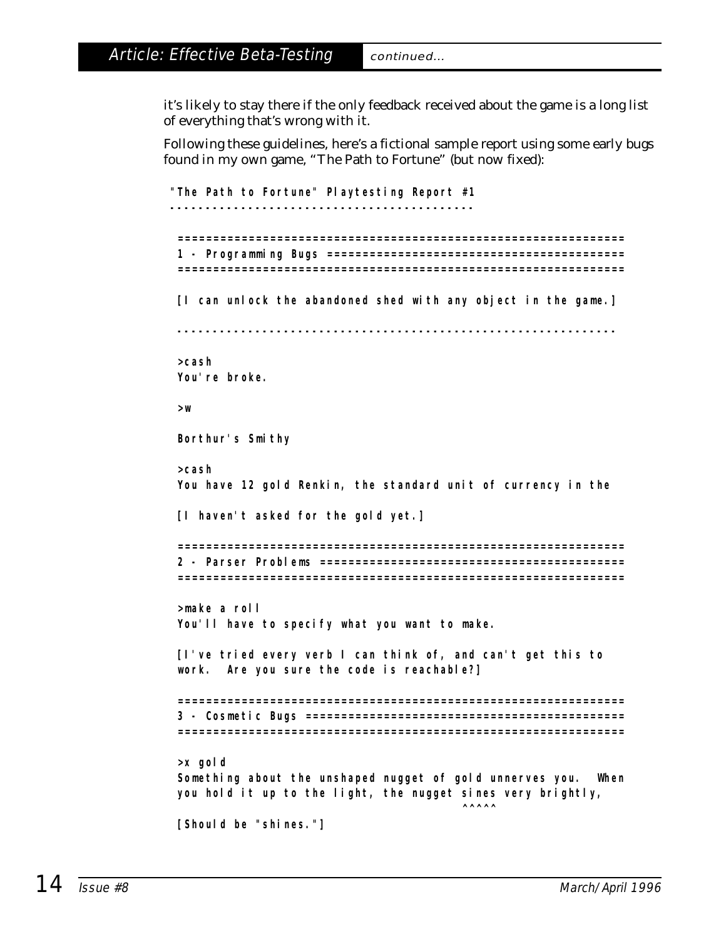it's likely to stay there if the only feedback received about the game is a long list of everything that's wrong with it.

Following these guidelines, here's a fictional sample report using some early bugs found in my own game, "The Path to Fortune" (but now fixed):

```
"The Path to Fortune" Playtesting Report #1
-------------------------------------------
 ===============================================================
 1 - Programming Bugs ==========================================
 ===============================================================
 [I can unlock the abandoned shed with any object in the game.]
         --------------------------------------------------------------
>cash
You're broke.
>w
Borthur's Smithy
>cash
 You have 12 gold Renkin, the standard unit of currency in the
 [I haven't asked for the gold yet.]
 ===============================================================
 2 - Parser Problems ===========================================
 ===============================================================
>make a roll
You'll have to specify what you want to make.
 [I've tried every verb I can think of, and can't get this to
work. Are you sure the code is reachable?]
   ===============================================================
 3 - Cosmetic Bugs =============================================
 ===============================================================
>x gold
Something about the unshaped nugget of gold unnerves you. When
you hold it up to the light, the nugget sines very brightly,
                                           \wedge\wedge\wedge\wedge\wedge[Should be "shines."]
```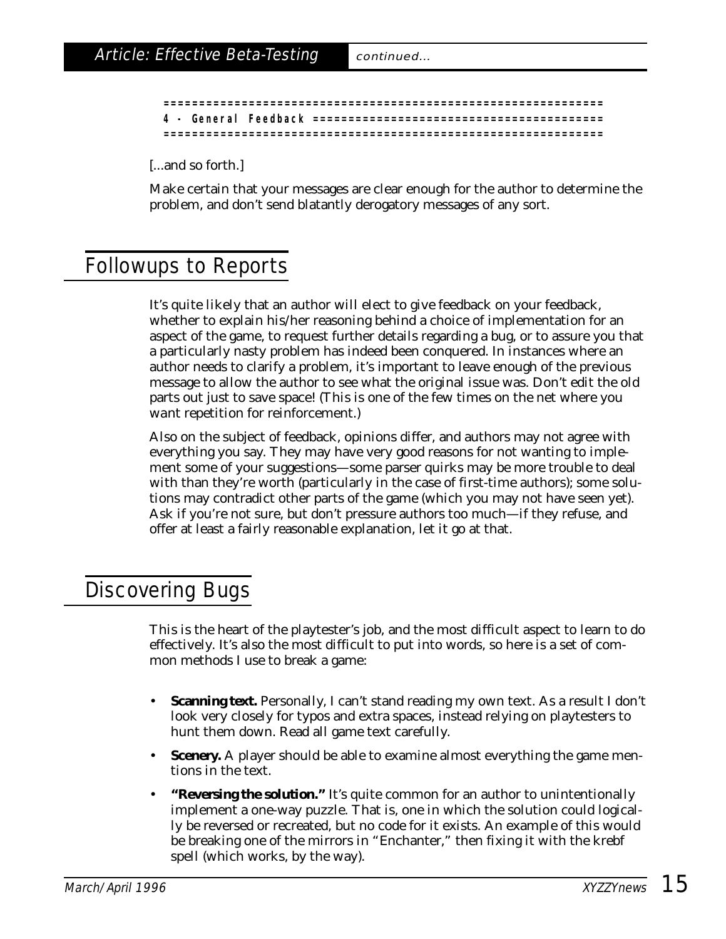|  | 4 - General Feedback | ===================== |
|--|----------------------|-----------------------|
|  |                      |                       |

[...and so forth.]

Make certain that your messages are clear enough for the author to determine the problem, and don't send blatantly derogatory messages of any sort.

# Followups to Reports

It's quite likely that an author will elect to give feedback on your feedback, whether to explain his/her reasoning behind a choice of implementation for an aspect of the game, to request further details regarding a bug, or to assure you that a particularly nasty problem has indeed been conquered. In instances where an author needs to clarify a problem, it's important to leave enough of the previous message to allow the author to see what the original issue was. Don't edit the old parts out just to save space! (This is one of the few times on the net where you *want* repetition for reinforcement.)

Also on the subject of feedback, opinions differ, and authors may not agree with everything you say. They may have very good reasons for not wanting to implement some of your suggestions—some parser quirks may be more trouble to deal with than they're worth (particularly in the case of first-time authors); some solutions may contradict other parts of the game (which you may not have seen yet). Ask if you're not sure, but don't pressure authors too much—if they refuse, and offer at least a fairly reasonable explanation, let it go at that.

## Discovering Bugs

This is the heart of the playtester's job, and the most difficult aspect to learn to do effectively. It's also the most difficult to put into words, so here is a set of common methods I use to break a game:

- **Scanning text.** Personally, I can't stand reading my own text. As a result I don't look very closely for typos and extra spaces, instead relying on playtesters to hunt them down. Read all game text carefully.
- **Scenery.** A player should be able to examine almost everything the game mentions in the text.
- **"Reversing the solution."** It's quite common for an author to unintentionally implement a one-way puzzle. That is, one in which the solution could logically be reversed or recreated, but no code for it exists. An example of this would be breaking one of the mirrors in "Enchanter," then fixing it with the krebf spell (which works, by the way).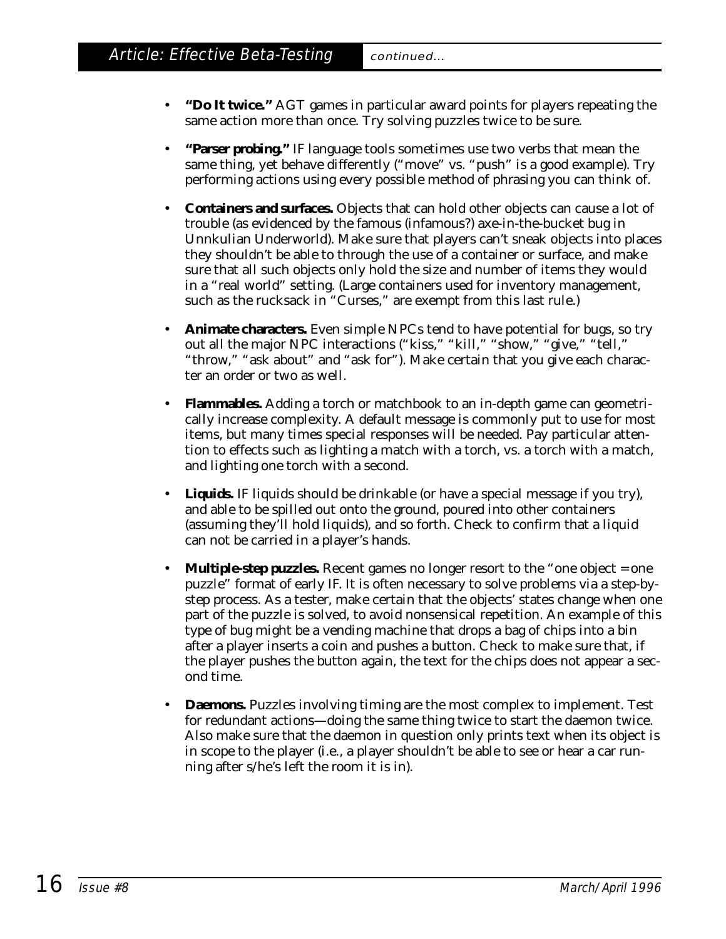- **"Do It twice."** AGT games in particular award points for players repeating the same action more than once. Try solving puzzles twice to be sure.
- **"Parser probing."** IF language tools sometimes use two verbs that mean the same thing, yet behave differently ("move" vs. "push" is a good example). Try performing actions using every possible method of phrasing you can think of.
- **Containers and surfaces.** Objects that can hold other objects can cause a lot of trouble (as evidenced by the famous (infamous?) axe-in-the-bucket bug in Unnkulian Underworld). Make sure that players can't sneak objects into places they shouldn't be able to through the use of a container or surface, and make sure that all such objects only hold the size and number of items they would in a "real world" setting. (Large containers used for inventory management, such as the rucksack in "Curses," are exempt from this last rule.)
- **Animate characters.** Even simple NPCs tend to have potential for bugs, so try out all the major NPC interactions ("kiss," "kill," "show," "give," "tell," "throw," "ask about" and "ask for"). Make certain that you give each character an order or two as well.
- **Flammables.** Adding a torch or matchbook to an in-depth game can geometrically increase complexity. A default message is commonly put to use for most items, but many times special responses will be needed. Pay particular attention to effects such as lighting a match with a torch, vs. a torch with a match, and lighting one torch with a second.
- **Liquids.** IF liquids should be drinkable (or have a special message if you try), and able to be spilled out onto the ground, poured into other containers (assuming they'll hold liquids), and so forth. Check to confirm that a liquid can not be carried in a player's hands.
- **Multiple-step puzzles.** Recent games no longer resort to the "one object = one puzzle" format of early IF. It is often necessary to solve problems via a step-bystep process. As a tester, make certain that the objects' states change when one part of the puzzle is solved, to avoid nonsensical repetition. An example of this type of bug might be a vending machine that drops a bag of chips into a bin after a player inserts a coin and pushes a button. Check to make sure that, if the player pushes the button again, the text for the chips does not appear a second time.
- **Daemons.** Puzzles involving timing are the most complex to implement. Test for redundant actions—doing the same thing twice to start the daemon twice. Also make sure that the daemon in question only prints text when its object is in scope to the player (i.e., a player shouldn't be able to see or hear a car running after s/he's left the room it is in).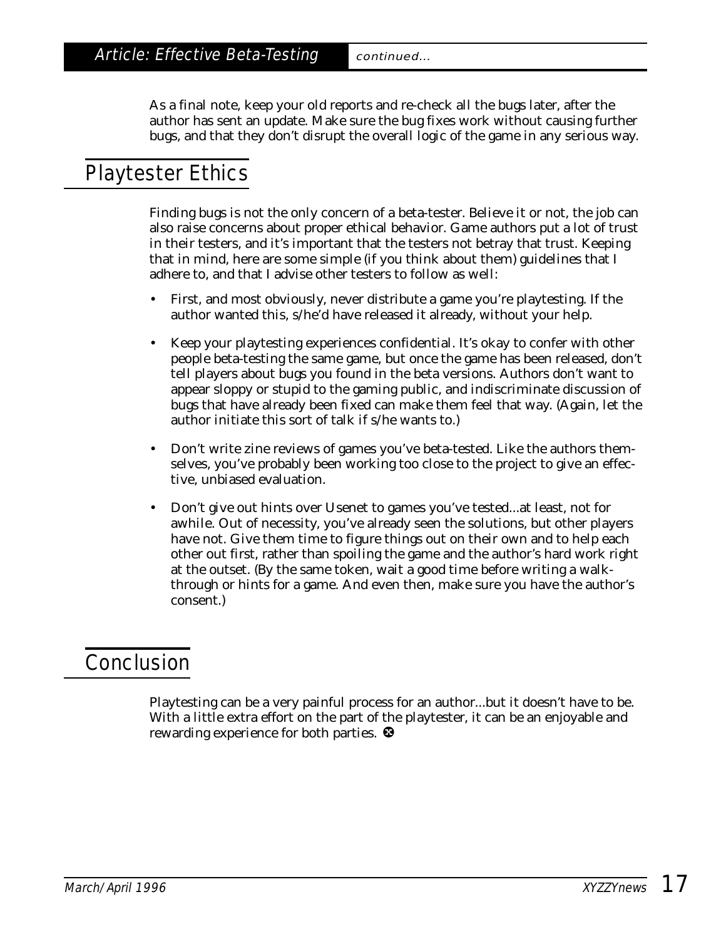As a final note, keep your old reports and re-check all the bugs later, after the author has sent an update. Make sure the bug fixes work without causing further bugs, and that they don't disrupt the overall logic of the game in any serious way.

# Playtester Ethics

Finding bugs is not the only concern of a beta-tester. Believe it or not, the job can also raise concerns about proper ethical behavior. Game authors put a lot of trust in their testers, and it's important that the testers not betray that trust. Keeping that in mind, here are some simple (if you think about them) guidelines that I adhere to, and that I advise other testers to follow as well:

- First, and most obviously, never distribute a game you're playtesting. If the author wanted this, s/he'd have released it already, without your help.
- Keep your playtesting experiences confidential. It's okay to confer with other people beta-testing the same game, but once the game has been released, don't tell players about bugs you found in the beta versions. Authors don't want to appear sloppy or stupid to the gaming public, and indiscriminate discussion of bugs that have already been fixed can make them feel that way. (Again, let the author initiate this sort of talk if s/he wants to.)
- Don't write zine reviews of games you've beta-tested. Like the authors themselves, you've probably been working too close to the project to give an effective, unbiased evaluation.
- Don't give out hints over Usenet to games you've tested...at least, not for awhile. Out of necessity, you've already seen the solutions, but other players have not. Give them time to figure things out on their own and to help each other out first, rather than spoiling the game and the author's hard work right at the outset. (By the same token, wait a good time before writing a walkthrough or hints for a game. And even then, make sure you have the author's consent.)

# Conclusion

Playtesting can be a very painful process for an author...but it doesn't have to be. With a little extra effort on the part of the playtester, it can be an enjoyable and rewarding experience for both parties.  $\bullet$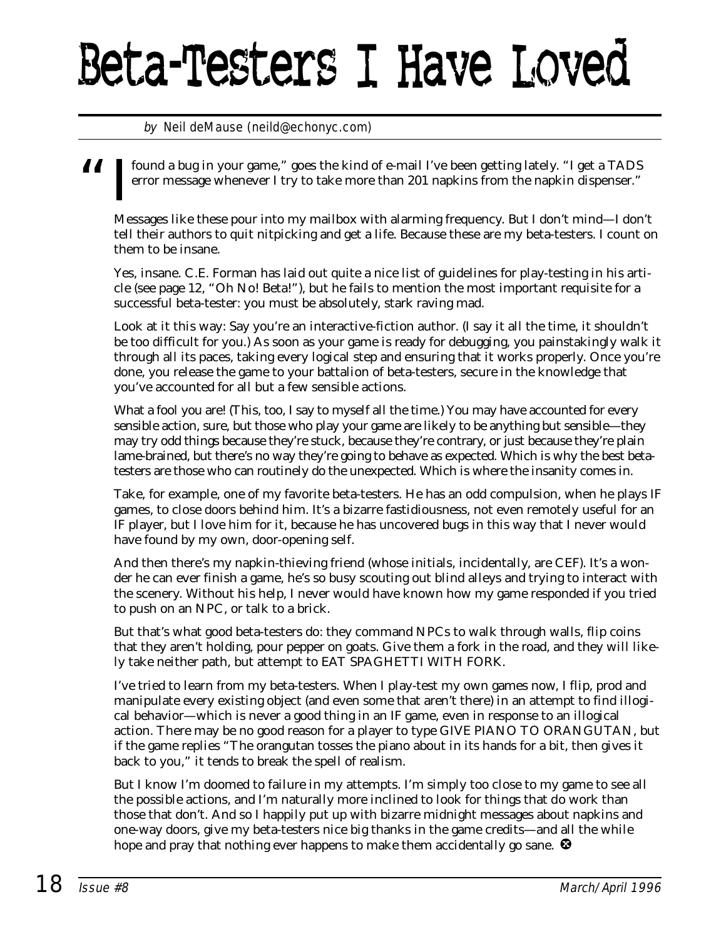# Beta-Testers I Have Loved

### by Neil deMause (neild@echonyc.com)

found a bug in your game," goes the kind of e-mail I've been getting lately. "I get a TADS error message whenever I try to take more than 201 napkins from the napkin dispenser." error message whenever I try to take more than 201 napkins from the napkin dispenser."

Messages like these pour into my mailbox with alarming frequency. But I don't mind—I don't tell their authors to quit nitpicking and get a life. Because these are my beta-testers. I count on them to be insane.

Yes, insane. C.E. Forman has laid out quite a nice list of guidelines for play-testing in his article (see page 12, "Oh No! Beta!"), but he fails to mention the most important requisite for a successful beta-tester: you must be absolutely, stark raving mad.

Look at it this way: Say you're an interactive-fiction author. (I say it all the time, it shouldn't be too difficult for you.) As soon as your game is ready for debugging, you painstakingly walk it through all its paces, taking every logical step and ensuring that it works properly. Once you're done, you release the game to your battalion of beta-testers, secure in the knowledge that you've accounted for all but a few sensible actions.

What a fool you are! (This, too, I say to myself all the time.) You may have accounted for every sensible action, sure, but those who play your game are likely to be anything but sensible—they may try odd things because they're stuck, because they're contrary, or just because they're plain lame-brained, but there's no way they're going to behave as expected. Which is why the best betatesters are those who can routinely do the unexpected. Which is where the insanity comes in.

Take, for example, one of my favorite beta-testers. He has an odd compulsion, when he plays IF games, to close doors behind him. It's a bizarre fastidiousness, not even remotely useful for an IF player, but I love him for it, because he has uncovered bugs in this way that I never would have found by my own, door-opening self.

And then there's my napkin-thieving friend (whose initials, incidentally, are CEF). It's a wonder he can ever finish a game, he's so busy scouting out blind alleys and trying to interact with the scenery. Without his help, I never would have known how my game responded if you tried to push on an NPC, or talk to a brick.

But that's what good beta-testers do: they command NPCs to walk through walls, flip coins that they aren't holding, pour pepper on goats. Give them a fork in the road, and they will likely take neither path, but attempt to EAT SPAGHETTI WITH FORK.

I've tried to learn from my beta-testers. When I play-test my own games now, I flip, prod and manipulate every existing object (and even some that aren't there) in an attempt to find illogical behavior—which is never a good thing in an IF game, even in response to an illogical action. There may be no good reason for a player to type GIVE PIANO TO ORANGUTAN, but if the game replies "The orangutan tosses the piano about in its hands for a bit, then gives it back to you," it tends to break the spell of realism.

But I know I'm doomed to failure in my attempts. I'm simply too close to my game to see all the possible actions, and I'm naturally more inclined to look for things that *do* work than those that don't. And so I happily put up with bizarre midnight messages about napkins and one-way doors, give my beta-testers nice big thanks in the game credits—and all the while hope and pray that nothing ever happens to make them accidentally go sane.  $\mathbf{\Theta}$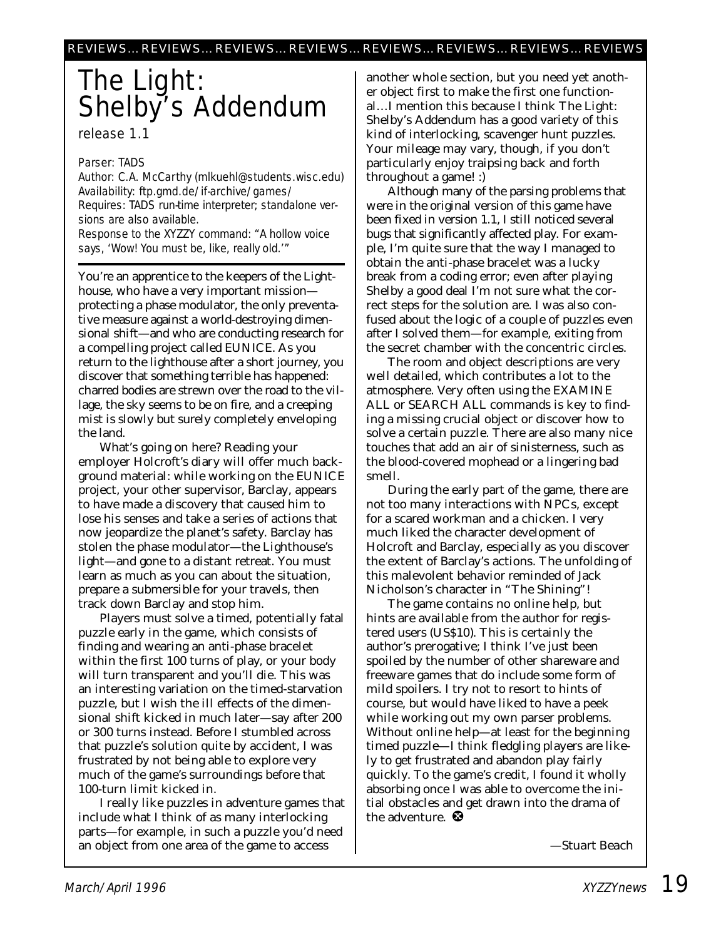# The Light: Shelby's Addendum

### release 1.1

### Parser: TADS

Author: C.A. McCarthy (mlkuehl@students.wisc.edu) Availability: ftp.gmd.de/if-archive/games/ Requires: TADS run-time interpreter; standalone versions are also available. Response to the XYZZY command: "A hollow voice says, 'Wow! You must be, like, really old.'"

You're an apprentice to the keepers of the Lighthouse, who have a very important mission protecting a phase modulator, the only preventative measure against a world-destroying dimensional shift—and who are conducting research for a compelling project called EUNICE. As you return to the lighthouse after a short journey, you discover that something terrible has happened: charred bodies are strewn over the road to the village, the sky seems to be on fire, and a creeping mist is slowly but surely completely enveloping the land.

What's going on here? Reading your employer Holcroft's diary will offer much background material: while working on the EUNICE project, your other supervisor, Barclay, appears to have made a discovery that caused him to lose his senses and take a series of actions that now jeopardize the planet's safety. Barclay has stolen the phase modulator—the Lighthouse's light—and gone to a distant retreat. You must learn as much as you can about the situation, prepare a submersible for your travels, then track down Barclay and stop him.

Players must solve a timed, potentially fatal puzzle early in the game, which consists of finding and wearing an anti-phase bracelet within the first 100 turns of play, or your body will turn transparent and you'll die. This was an interesting variation on the timed-starvation puzzle, but I wish the ill effects of the dimensional shift kicked in much later—say after 200 or 300 turns instead. Before I stumbled across that puzzle's solution quite by accident, I was frustrated by not being able to explore very much of the game's surroundings before that 100-turn limit kicked in.

I really like puzzles in adventure games that include what I think of as many interlocking parts—for example, in such a puzzle you'd need an object from one area of the game to access

another whole section, but you need yet another object first to make the first one functional…I mention this because I think The Light: Shelby's Addendum has a good variety of this kind of interlocking, scavenger hunt puzzles. Your mileage may vary, though, if you don't particularly enjoy traipsing back and forth throughout a game! :)

Although many of the parsing problems that were in the original version of this game have been fixed in version 1.1, I still noticed several bugs that significantly affected play. For example, I'm quite sure that the way I managed to obtain the anti-phase bracelet was a lucky break from a coding error; even after playing Shelby a good deal I'm not sure what the correct steps for the solution are. I was also confused about the logic of a couple of puzzles even after I solved them—for example, exiting from the secret chamber with the concentric circles.

The room and object descriptions are very well detailed, which contributes a lot to the atmosphere. Very often using the EXAMINE ALL or SEARCH ALL commands is key to finding a missing crucial object or discover how to solve a certain puzzle. There are also many nice touches that add an air of sinisterness, such as the blood-covered mophead or a lingering bad smell.

During the early part of the game, there are not too many interactions with NPCs, except for a scared workman and a chicken. I very much liked the character development of Holcroft and Barclay, especially as you discover the extent of Barclay's actions. The unfolding of this malevolent behavior reminded of Jack Nicholson's character in "The Shining"!

The game contains no online help, but hints are available from the author for registered users (US\$10). This is certainly the author's prerogative; I think I've just been spoiled by the number of other shareware and freeware games that do include some form of mild spoilers. I try not to resort to hints of course, but would have liked to have a peek while working out my own parser problems. Without online help—at least for the beginning timed puzzle—I think fledgling players are likely to get frustrated and abandon play fairly quickly. To the game's credit, I found it wholly absorbing once I was able to overcome the initial obstacles and get drawn into the drama of the adventure.  $\bullet$ 

*—Stuart Beach*